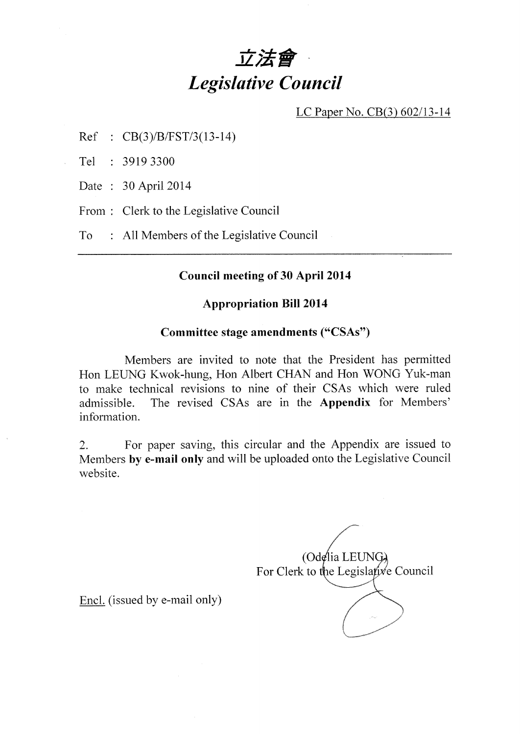# 立法會 **Legislative Council**

LC Paper No. CB(3) 602/13-14

 $Ref : CB(3)/B/FST/3(13-14)$ 

Tel : 3919 3300

Date: 30 April 2014

From: Clerk to the Legislative Council

: All Members of the Legislative Council T<sub>o</sub>

#### **Council meeting of 30 April 2014**

#### **Appropriation Bill 2014**

#### Committee stage amendments ("CSAs")

Members are invited to note that the President has permitted Hon LEUNG Kwok-hung, Hon Albert CHAN and Hon WONG Yuk-man to make technical revisions to nine of their CSAs which were ruled The revised CSAs are in the Appendix for Members' admissible. information.

For paper saving, this circular and the Appendix are issued to  $2.$ Members by e-mail only and will be uploaded onto the Legislative Council website.

 $(Odefia LEUNG)$ For Clerk to the Legislative Council

Encl. (issued by e-mail only)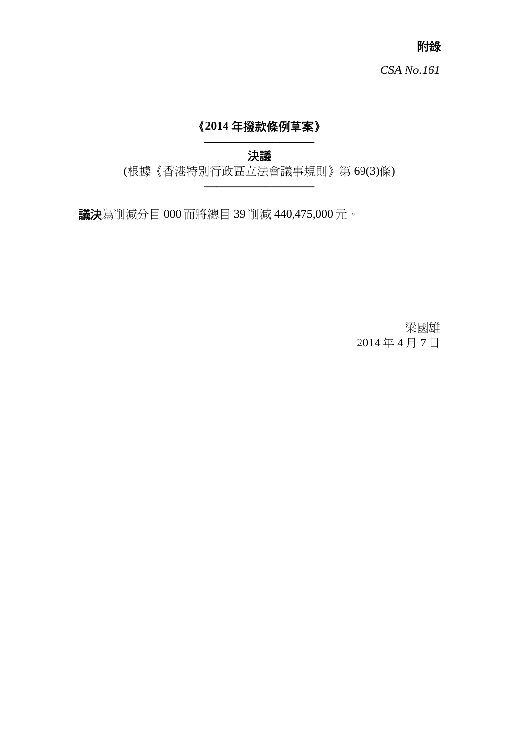附錄

# 《**2014** 年撥款條例草案》

**—————————**  決議

(根據《香港特別行政區立法會議事規則》第 69(3)條) **—————————**

議決為削減分目 000 而將總目 39 削減 440,475,000 元。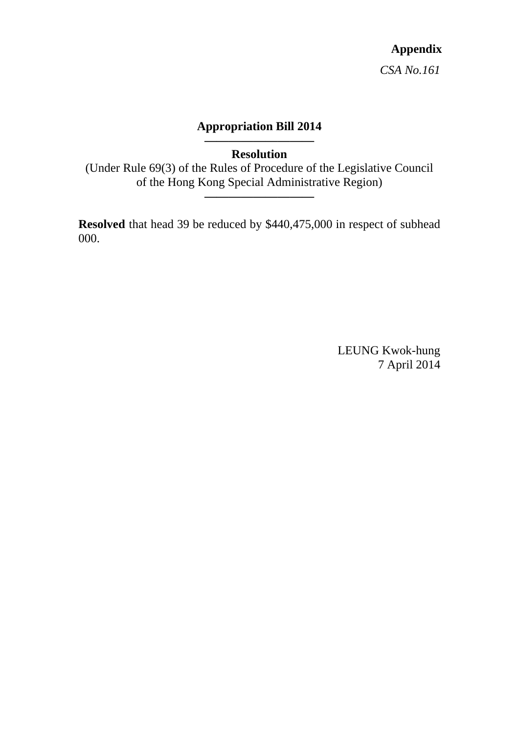## **Appropriation Bill 2014**

**————————— Resolution** 

(Under Rule 69(3) of the Rules of Procedure of the Legislative Council of the Hong Kong Special Administrative Region)

**—————————**

**Resolved** that head 39 be reduced by \$440,475,000 in respect of subhead 000.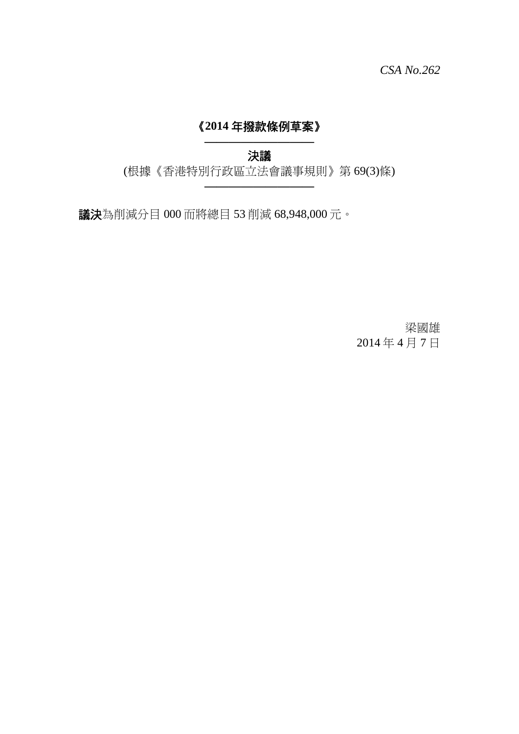# 《**2014** 年撥款條例草案》

**—————————**  決議

(根據《香港特別行政區立法會議事規則》第 69(3)條) **—————————**

議決為削減分目 000 而將總目 53 削減 68,948,000 元。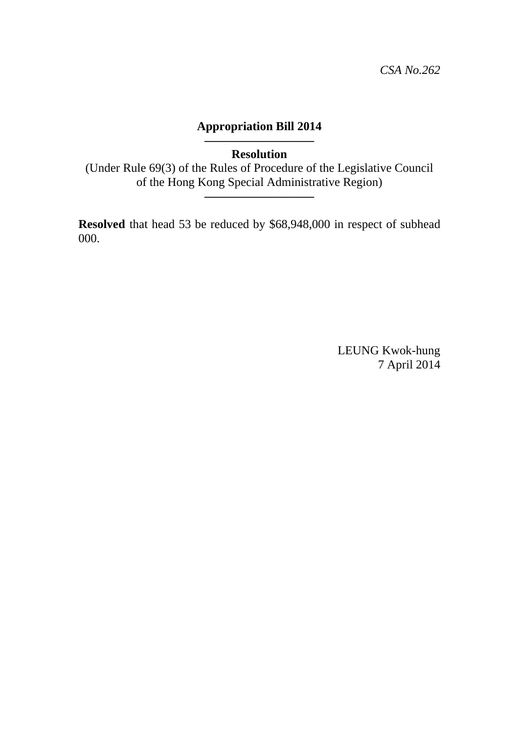## **Appropriation Bill 2014**

**————————— Resolution** 

(Under Rule 69(3) of the Rules of Procedure of the Legislative Council of the Hong Kong Special Administrative Region)

**—————————**

**Resolved** that head 53 be reduced by \$68,948,000 in respect of subhead 000.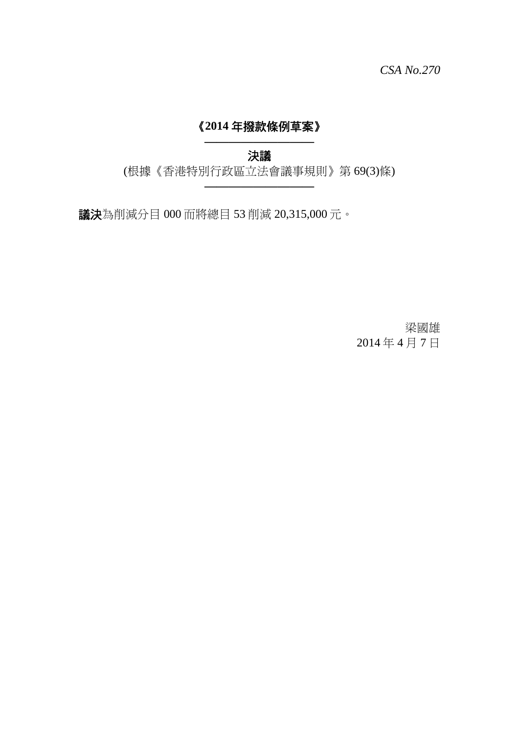# 《**2014** 年撥款條例草案》

**—————————**  決議

(根據《香港特別行政區立法會議事規則》第 69(3)條) **—————————**

議決為削減分目 000 而將總目 53 削減 20,315,000 元。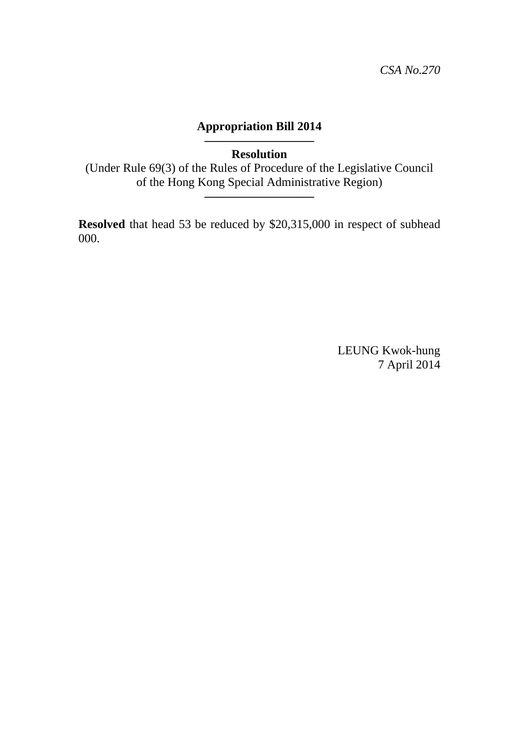## **Appropriation Bill 2014**

**————————— Resolution** 

(Under Rule 69(3) of the Rules of Procedure of the Legislative Council of the Hong Kong Special Administrative Region)

**—————————**

**Resolved** that head 53 be reduced by \$20,315,000 in respect of subhead 000.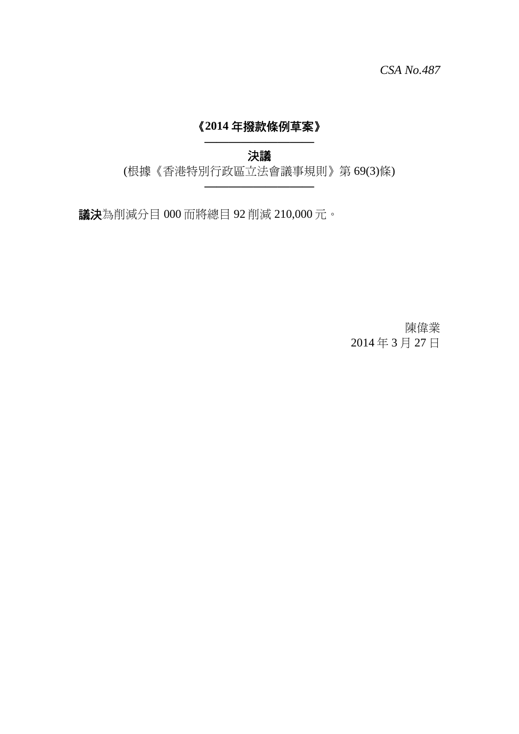# 《**2014** 年撥款條例草案》

**—————————**  決議

(根據《香港特別行政區立法會議事規則》第 69(3)條) **—————————**

議決為削減分目 000 而將總目 92 削減 210,000 元。

陳偉業 2014 年 3 月 27 日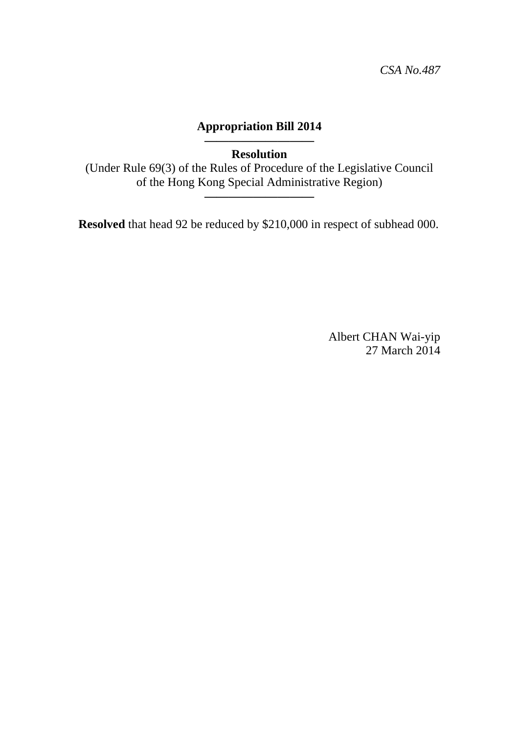## **Appropriation Bill 2014**

**————————— Resolution** 

(Under Rule 69(3) of the Rules of Procedure of the Legislative Council of the Hong Kong Special Administrative Region)

**—————————**

**Resolved** that head 92 be reduced by \$210,000 in respect of subhead 000.

Albert CHAN Wai-yip 27 March 2014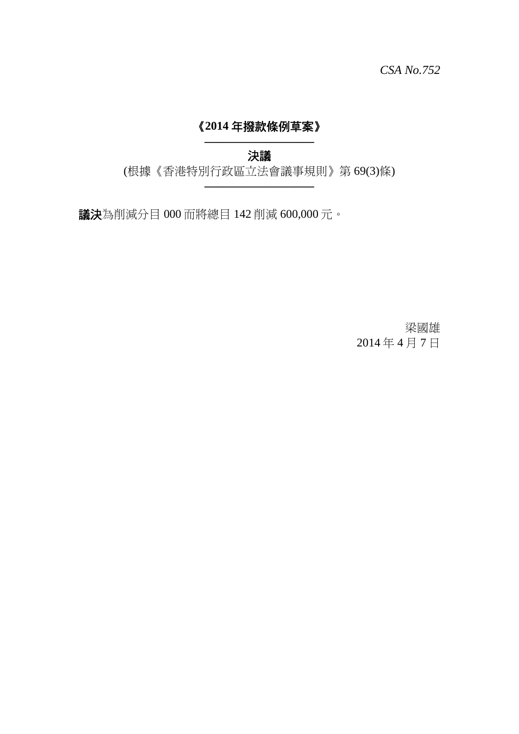# 《**2014** 年撥款條例草案》

**—————————**  決議

(根據《香港特別行政區立法會議事規則》第 69(3)條) **—————————**

議決為削減分目 000 而將總目 142 削減 600,000 元。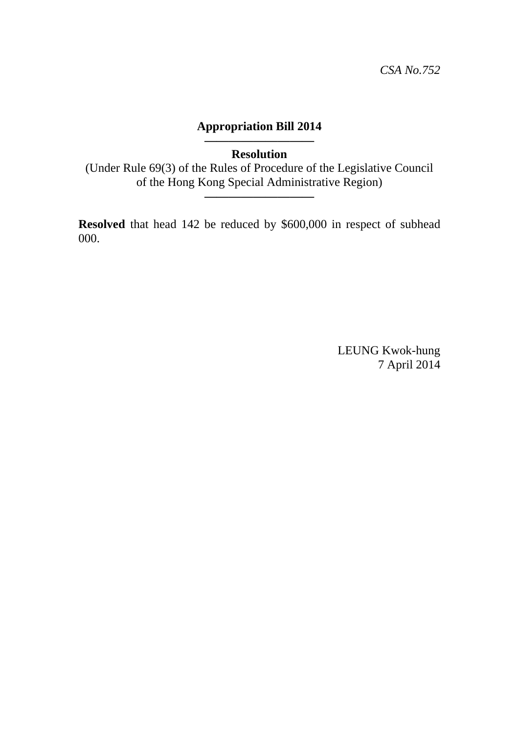## **Appropriation Bill 2014**

#### **————————— Resolution**

(Under Rule 69(3) of the Rules of Procedure of the Legislative Council of the Hong Kong Special Administrative Region)

**—————————**

**Resolved** that head 142 be reduced by \$600,000 in respect of subhead 000.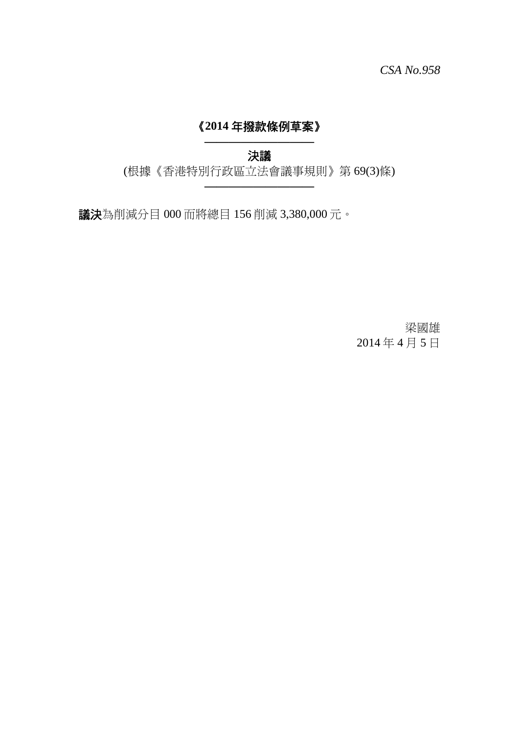# 《**2014** 年撥款條例草案》

**—————————**  決議

(根據《香港特別行政區立法會議事規則》第 69(3)條) **—————————**

議決為削減分目 000 而將總目 156 削減 3,380,000 元。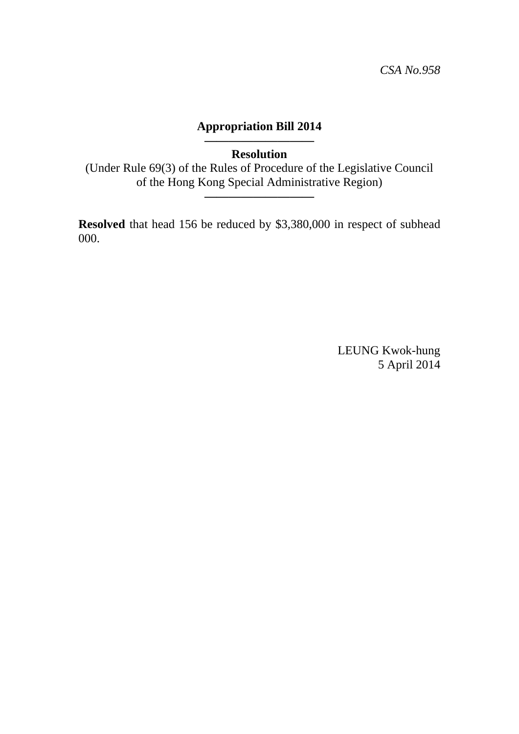## **Appropriation Bill 2014**

#### **————————— Resolution**

(Under Rule 69(3) of the Rules of Procedure of the Legislative Council of the Hong Kong Special Administrative Region)

**—————————**

**Resolved** that head 156 be reduced by \$3,380,000 in respect of subhead 000.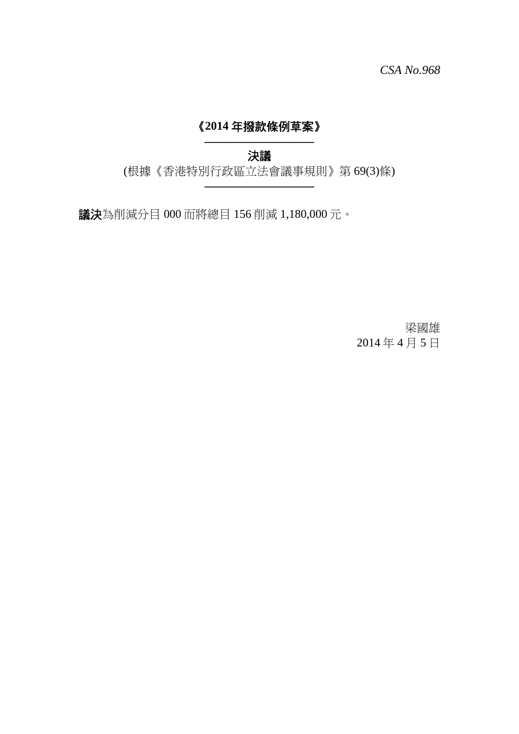# 《**2014** 年撥款條例草案》

**—————————**  決議

(根據《香港特別行政區立法會議事規則》第 69(3)條) **—————————**

議決為削減分目 000 而將總目 156 削減 1,180,000 元。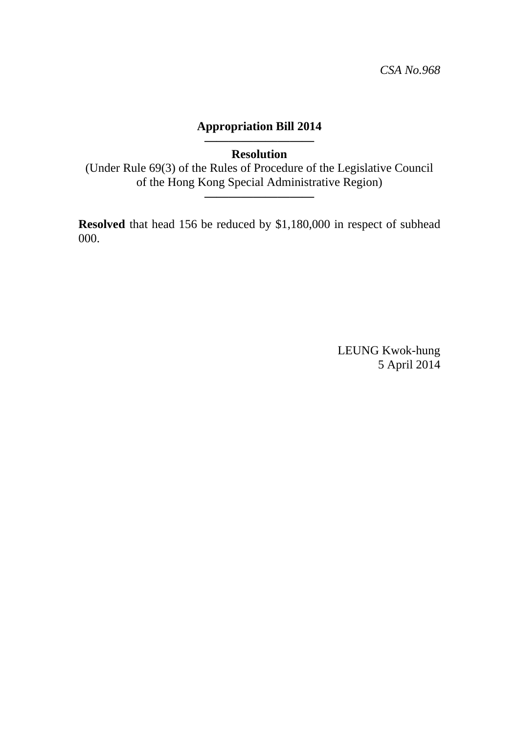## **Appropriation Bill 2014**

#### **————————— Resolution**

(Under Rule 69(3) of the Rules of Procedure of the Legislative Council of the Hong Kong Special Administrative Region)

**—————————**

**Resolved** that head 156 be reduced by \$1,180,000 in respect of subhead 000.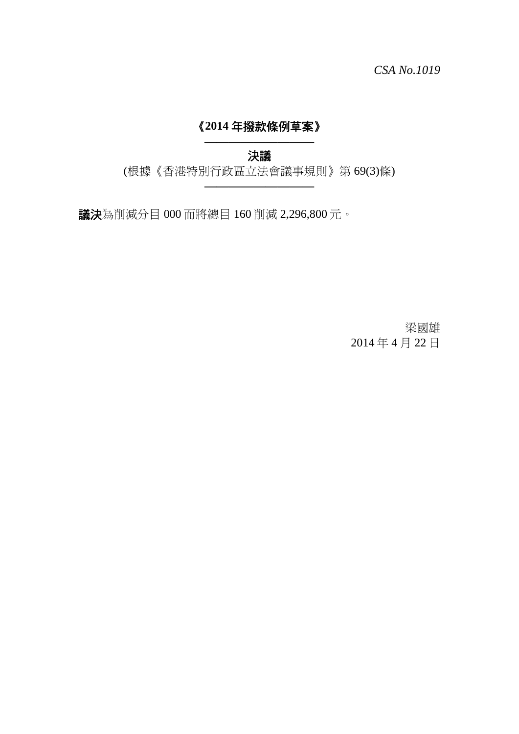# 《**2014** 年撥款條例草案》

**—————————**  決議

(根據《香港特別行政區立法會議事規則》第 69(3)條) **—————————**

議決為削減分目 000 而將總目 160 削減 2,296,800 元。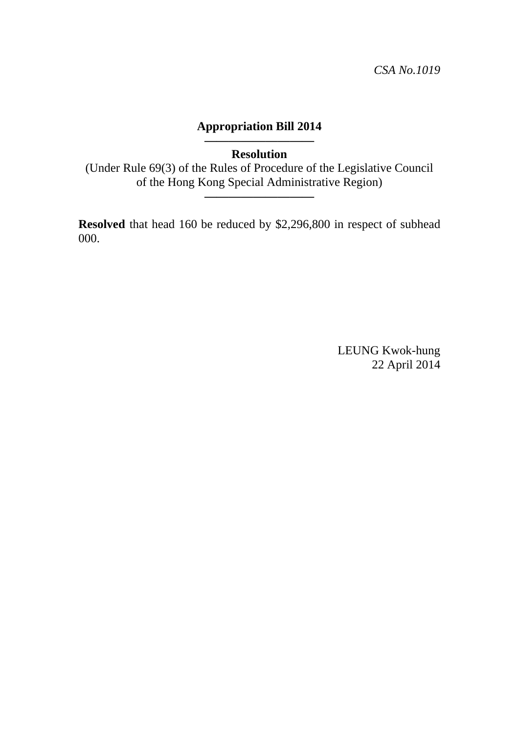## **Appropriation Bill 2014**

**————————— Resolution** 

(Under Rule 69(3) of the Rules of Procedure of the Legislative Council of the Hong Kong Special Administrative Region)

**—————————**

**Resolved** that head 160 be reduced by \$2,296,800 in respect of subhead 000.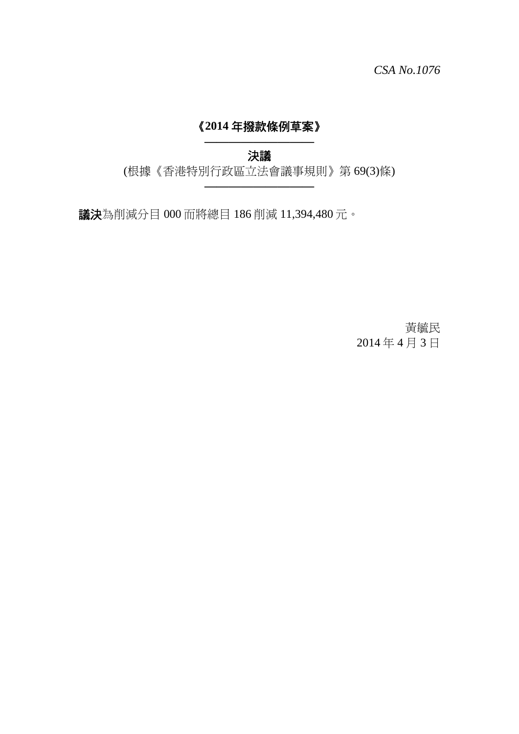# 《**2014** 年撥款條例草案》

**—————————**  決議

(根據《香港特別行政區立法會議事規則》第 69(3)條) **—————————**

議決為削減分目 000 而將總目 186 削減 11,394,480 元。

黃毓民 2014 年 4 月 3 日